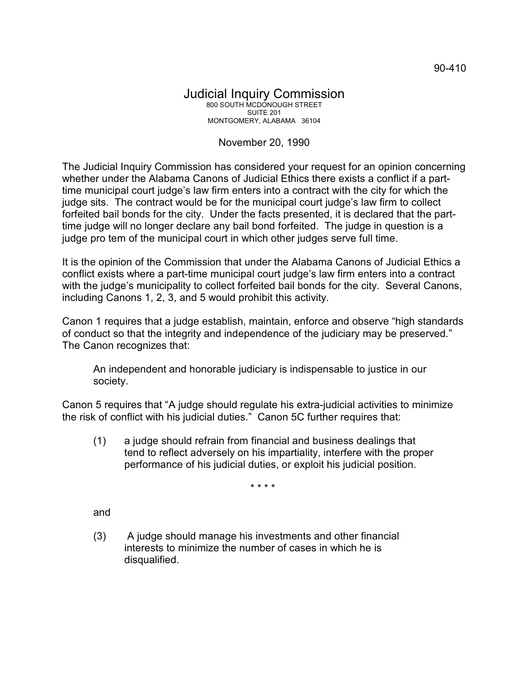## Judicial Inquiry Commission 800 SOUTH MCDONOUGH STREET SUITE 201 MONTGOMERY, ALABAMA 36104

## November 20, 1990

The Judicial Inquiry Commission has considered your request for an opinion concerning whether under the Alabama Canons of Judicial Ethics there exists a conflict if a parttime municipal court judge's law firm enters into a contract with the city for which the judge sits. The contract would be for the municipal court judge's law firm to collect forfeited bail bonds for the city. Under the facts presented, it is declared that the parttime judge will no longer declare any bail bond forfeited. The judge in question is a judge pro tem of the municipal court in which other judges serve full time.

It is the opinion of the Commission that under the Alabama Canons of Judicial Ethics a conflict exists where a part-time municipal court judge's law firm enters into a contract with the judge's municipality to collect forfeited bail bonds for the city. Several Canons, including Canons 1, 2, 3, and 5 would prohibit this activity.

Canon 1 requires that a judge establish, maintain, enforce and observe "high standards of conduct so that the integrity and independence of the judiciary may be preserved." The Canon recognizes that:

An independent and honorable judiciary is indispensable to justice in our society.

Canon 5 requires that "A judge should regulate his extra-judicial activities to minimize the risk of conflict with his judicial duties." Canon 5C further requires that:

(1) a judge should refrain from financial and business dealings that tend to reflect adversely on his impartiality, interfere with the proper performance of his judicial duties, or exploit his judicial position.

\* \* \* \*

and

(3) A judge should manage his investments and other financial interests to minimize the number of cases in which he is disqualified.